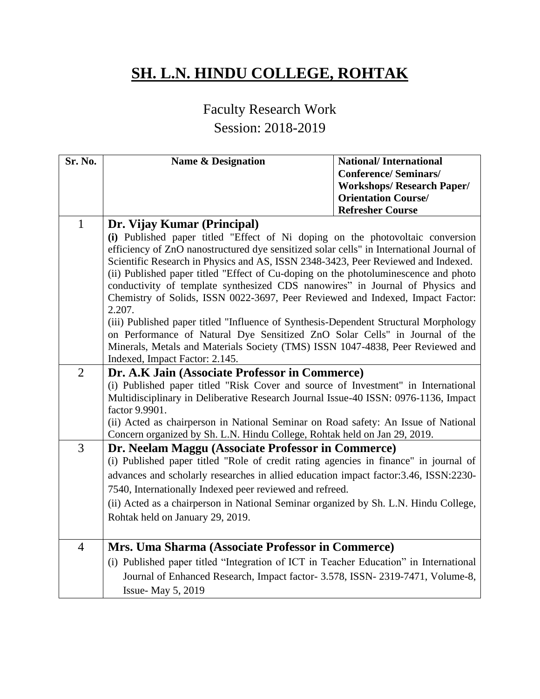## **SH. L.N. HINDU COLLEGE, ROHTAK**

## Faculty Research Work

## Session: 2018-2019

| Sr. No.        | <b>Name &amp; Designation</b>                                                                                                                                                                                                                                                                                                                                                                                                                                                                                                                                                                                                                                                                                                                                                                                                                                 | <b>National/International</b><br><b>Conference/Seminars/</b><br><b>Workshops/ Research Paper/</b> |
|----------------|---------------------------------------------------------------------------------------------------------------------------------------------------------------------------------------------------------------------------------------------------------------------------------------------------------------------------------------------------------------------------------------------------------------------------------------------------------------------------------------------------------------------------------------------------------------------------------------------------------------------------------------------------------------------------------------------------------------------------------------------------------------------------------------------------------------------------------------------------------------|---------------------------------------------------------------------------------------------------|
|                |                                                                                                                                                                                                                                                                                                                                                                                                                                                                                                                                                                                                                                                                                                                                                                                                                                                               | <b>Orientation Course/</b><br><b>Refresher Course</b>                                             |
| $\mathbf{1}$   | Dr. Vijay Kumar (Principal)<br>(i) Published paper titled "Effect of Ni doping on the photovoltaic conversion<br>efficiency of ZnO nanostructured dye sensitized solar cells" in International Journal of<br>Scientific Research in Physics and AS, ISSN 2348-3423, Peer Reviewed and Indexed.<br>(ii) Published paper titled "Effect of Cu-doping on the photoluminescence and photo<br>conductivity of template synthesized CDS nanowires" in Journal of Physics and<br>Chemistry of Solids, ISSN 0022-3697, Peer Reviewed and Indexed, Impact Factor:<br>2.207.<br>(iii) Published paper titled "Influence of Synthesis-Dependent Structural Morphology<br>on Performance of Natural Dye Sensitized ZnO Solar Cells" in Journal of the<br>Minerals, Metals and Materials Society (TMS) ISSN 1047-4838, Peer Reviewed and<br>Indexed, Impact Factor: 2.145. |                                                                                                   |
| $\overline{2}$ | Dr. A.K Jain (Associate Professor in Commerce)<br>(i) Published paper titled "Risk Cover and source of Investment" in International<br>Multidisciplinary in Deliberative Research Journal Issue-40 ISSN: 0976-1136, Impact<br>factor 9.9901.<br>(ii) Acted as chairperson in National Seminar on Road safety: An Issue of National<br>Concern organized by Sh. L.N. Hindu College, Rohtak held on Jan 29, 2019.                                                                                                                                                                                                                                                                                                                                                                                                                                               |                                                                                                   |
| 3              | Dr. Neelam Maggu (Associate Professor in Commerce)<br>(i) Published paper titled "Role of credit rating agencies in finance" in journal of<br>advances and scholarly researches in allied education impact factor: 3.46, ISSN: 2230-<br>7540, Internationally Indexed peer reviewed and refreed.<br>(ii) Acted as a chairperson in National Seminar organized by Sh. L.N. Hindu College,<br>Rohtak held on January 29, 2019.                                                                                                                                                                                                                                                                                                                                                                                                                                  |                                                                                                   |
| $\overline{4}$ | Mrs. Uma Sharma (Associate Professor in Commerce)<br>(i) Published paper titled "Integration of ICT in Teacher Education" in International<br>Journal of Enhanced Research, Impact factor- 3.578, ISSN- 2319-7471, Volume-8,<br>Issue- May 5, 2019                                                                                                                                                                                                                                                                                                                                                                                                                                                                                                                                                                                                            |                                                                                                   |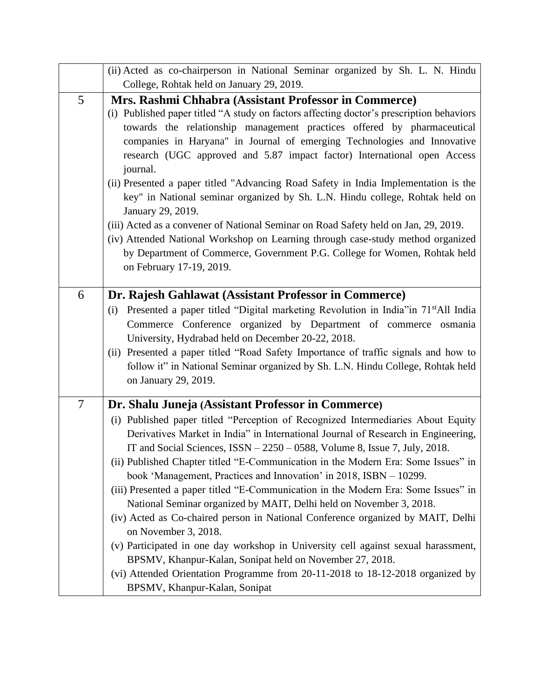|                | (ii) Acted as co-chairperson in National Seminar organized by Sh. L. N. Hindu                                                                                                                                                                                                                                                                                                                                                                                                                                                                                                                                                                                                                                                                                                                                                                                                                                                                                  |
|----------------|----------------------------------------------------------------------------------------------------------------------------------------------------------------------------------------------------------------------------------------------------------------------------------------------------------------------------------------------------------------------------------------------------------------------------------------------------------------------------------------------------------------------------------------------------------------------------------------------------------------------------------------------------------------------------------------------------------------------------------------------------------------------------------------------------------------------------------------------------------------------------------------------------------------------------------------------------------------|
|                | College, Rohtak held on January 29, 2019.                                                                                                                                                                                                                                                                                                                                                                                                                                                                                                                                                                                                                                                                                                                                                                                                                                                                                                                      |
| 5              | Mrs. Rashmi Chhabra (Assistant Professor in Commerce)<br>(i) Published paper titled "A study on factors affecting doctor's prescription behaviors<br>towards the relationship management practices offered by pharmaceutical<br>companies in Haryana" in Journal of emerging Technologies and Innovative<br>research (UGC approved and 5.87 impact factor) International open Access<br>journal.<br>(ii) Presented a paper titled "Advancing Road Safety in India Implementation is the<br>key" in National seminar organized by Sh. L.N. Hindu college, Rohtak held on<br>January 29, 2019.<br>(iii) Acted as a convener of National Seminar on Road Safety held on Jan, 29, 2019.<br>(iv) Attended National Workshop on Learning through case-study method organized<br>by Department of Commerce, Government P.G. College for Women, Rohtak held<br>on February 17-19, 2019.                                                                                |
| 6              | Dr. Rajesh Gahlawat (Assistant Professor in Commerce)<br>Presented a paper titled "Digital marketing Revolution in India" in 71 <sup>st</sup> All India<br>(i)<br>Commerce Conference organized by Department of commerce osmania<br>University, Hydrabad held on December 20-22, 2018.<br>(ii) Presented a paper titled "Road Safety Importance of traffic signals and how to<br>follow it" in National Seminar organized by Sh. L.N. Hindu College, Rohtak held<br>on January 29, 2019.                                                                                                                                                                                                                                                                                                                                                                                                                                                                      |
| $\overline{7}$ | Dr. Shalu Juneja (Assistant Professor in Commerce)                                                                                                                                                                                                                                                                                                                                                                                                                                                                                                                                                                                                                                                                                                                                                                                                                                                                                                             |
|                | (i) Published paper titled "Perception of Recognized Intermediaries About Equity<br>Derivatives Market in India" in International Journal of Research in Engineering,<br>IT and Social Sciences, $ISSN - 2250 - 0588$ , Volume 8, Issue 7, July, 2018.<br>(ii) Published Chapter titled "E-Communication in the Modern Era: Some Issues" in<br>book 'Management, Practices and Innovation' in 2018, ISBN - 10299.<br>(iii) Presented a paper titled "E-Communication in the Modern Era: Some Issues" in<br>National Seminar organized by MAIT, Delhi held on November 3, 2018.<br>(iv) Acted as Co-chaired person in National Conference organized by MAIT, Delhi<br>on November 3, 2018.<br>(v) Participated in one day workshop in University cell against sexual harassment,<br>BPSMV, Khanpur-Kalan, Sonipat held on November 27, 2018.<br>(vi) Attended Orientation Programme from 20-11-2018 to 18-12-2018 organized by<br>BPSMV, Khanpur-Kalan, Sonipat |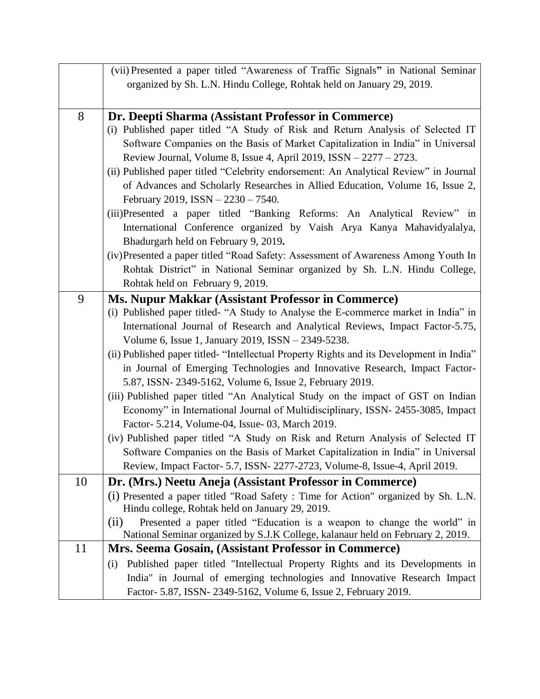|    | (vii) Presented a paper titled "Awareness of Traffic Signals" in National Seminar                                                                                |
|----|------------------------------------------------------------------------------------------------------------------------------------------------------------------|
|    | organized by Sh. L.N. Hindu College, Rohtak held on January 29, 2019.                                                                                            |
|    |                                                                                                                                                                  |
| 8  | Dr. Deepti Sharma (Assistant Professor in Commerce)                                                                                                              |
|    | (i) Published paper titled "A Study of Risk and Return Analysis of Selected IT                                                                                   |
|    | Software Companies on the Basis of Market Capitalization in India" in Universal                                                                                  |
|    | Review Journal, Volume 8, Issue 4, April 2019, ISSN – 2277 – 2723.                                                                                               |
|    | (ii) Published paper titled "Celebrity endorsement: An Analytical Review" in Journal                                                                             |
|    | of Advances and Scholarly Researches in Allied Education, Volume 16, Issue 2,                                                                                    |
|    | February 2019, ISSN - 2230 - 7540.                                                                                                                               |
|    | (iii)Presented a paper titled "Banking Reforms: An Analytical Review" in                                                                                         |
|    | International Conference organized by Vaish Arya Kanya Mahavidyalalya,                                                                                           |
|    | Bhadurgarh held on February 9, 2019.                                                                                                                             |
|    | (iv)Presented a paper titled "Road Safety: Assessment of Awareness Among Youth In                                                                                |
|    | Rohtak District" in National Seminar organized by Sh. L.N. Hindu College,                                                                                        |
|    | Rohtak held on February 9, 2019.                                                                                                                                 |
| 9  | <b>Ms. Nupur Makkar (Assistant Professor in Commerce)</b>                                                                                                        |
|    | (i) Published paper titled- "A Study to Analyse the E-commerce market in India" in                                                                               |
|    | International Journal of Research and Analytical Reviews, Impact Factor-5.75,                                                                                    |
|    | Volume 6, Issue 1, January 2019, ISSN - 2349-5238.                                                                                                               |
|    | (ii) Published paper titled- "Intellectual Property Rights and its Development in India"                                                                         |
|    | in Journal of Emerging Technologies and Innovative Research, Impact Factor-                                                                                      |
|    | 5.87, ISSN-2349-5162, Volume 6, Issue 2, February 2019.                                                                                                          |
|    | (iii) Published paper titled "An Analytical Study on the impact of GST on Indian                                                                                 |
|    | Economy" in International Journal of Multidisciplinary, ISSN-2455-3085, Impact                                                                                   |
|    | Factor- 5.214, Volume-04, Issue- 03, March 2019.                                                                                                                 |
|    | (iv) Published paper titled "A Study on Risk and Return Analysis of Selected IT                                                                                  |
|    | Software Companies on the Basis of Market Capitalization in India" in Universal<br>Review, Impact Factor - 5.7, ISSN - 2277-2723, Volume-8, Issue-4, April 2019. |
| 10 |                                                                                                                                                                  |
|    | Dr. (Mrs.) Neetu Aneja (Assistant Professor in Commerce)<br>(i) Presented a paper titled "Road Safety: Time for Action" organized by Sh. L.N.                    |
|    | Hindu college, Rohtak held on January 29, 2019.                                                                                                                  |
|    | Presented a paper titled "Education is a weapon to change the world" in<br>(ii)                                                                                  |
|    | National Seminar organized by S.J.K College, kalanaur held on February 2, 2019.                                                                                  |
| 11 | Mrs. Seema Gosain, (Assistant Professor in Commerce)                                                                                                             |
|    | Published paper titled "Intellectual Property Rights and its Developments in<br>(i)                                                                              |
|    | India" in Journal of emerging technologies and Innovative Research Impact                                                                                        |
|    | Factor- 5.87, ISSN- 2349-5162, Volume 6, Issue 2, February 2019.                                                                                                 |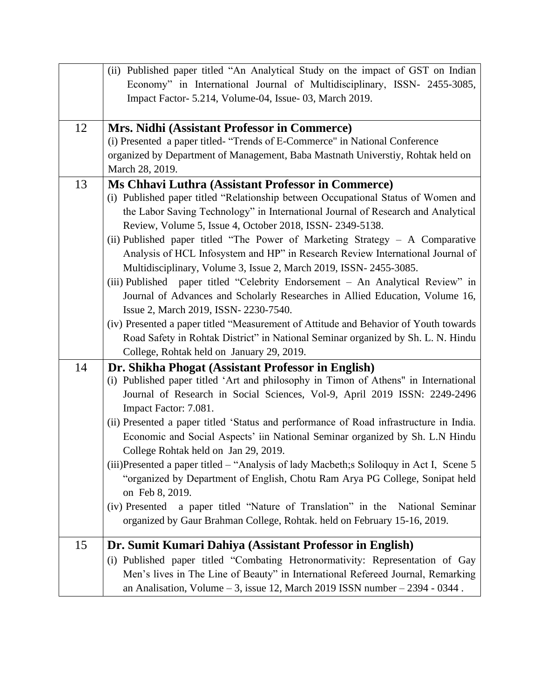|    | (ii) Published paper titled "An Analytical Study on the impact of GST on Indian          |
|----|------------------------------------------------------------------------------------------|
|    | Economy" in International Journal of Multidisciplinary, ISSN- 2455-3085,                 |
|    | Impact Factor- 5.214, Volume-04, Issue- 03, March 2019.                                  |
|    |                                                                                          |
| 12 | Mrs. Nidhi (Assistant Professor in Commerce)                                             |
|    | (i) Presented a paper titled- "Trends of E-Commerce" in National Conference              |
|    | organized by Department of Management, Baba Mastnath Universtiy, Rohtak held on          |
|    | March 28, 2019.                                                                          |
| 13 | Ms Chhavi Luthra (Assistant Professor in Commerce)                                       |
|    | (i) Published paper titled "Relationship between Occupational Status of Women and        |
|    | the Labor Saving Technology" in International Journal of Research and Analytical         |
|    | Review, Volume 5, Issue 4, October 2018, ISSN- 2349-5138.                                |
|    | (ii) Published paper titled "The Power of Marketing Strategy - A Comparative             |
|    | Analysis of HCL Infosystem and HP" in Research Review International Journal of           |
|    | Multidisciplinary, Volume 3, Issue 2, March 2019, ISSN-2455-3085.                        |
|    | (iii) Published paper titled "Celebrity Endorsement - An Analytical Review" in           |
|    | Journal of Advances and Scholarly Researches in Allied Education, Volume 16,             |
|    | Issue 2, March 2019, ISSN- 2230-7540.                                                    |
|    | (iv) Presented a paper titled "Measurement of Attitude and Behavior of Youth towards     |
|    | Road Safety in Rohtak District" in National Seminar organized by Sh. L. N. Hindu         |
|    | College, Rohtak held on January 29, 2019.                                                |
| 14 | Dr. Shikha Phogat (Assistant Professor in English)                                       |
|    | (i) Published paper titled 'Art and philosophy in Timon of Athens" in International      |
|    | Journal of Research in Social Sciences, Vol-9, April 2019 ISSN: 2249-2496                |
|    | Impact Factor: 7.081.                                                                    |
|    | (ii) Presented a paper titled 'Status and performance of Road infrastructure in India.   |
|    | Economic and Social Aspects' iin National Seminar organized by Sh. L.N Hindu             |
|    | College Rohtak held on Jan 29, 2019.                                                     |
|    | (iii)Presented a paper titled – "Analysis of lady Macbeth; s Soliloquy in Act I, Scene 5 |
|    | "organized by Department of English, Chotu Ram Arya PG College, Sonipat held             |
|    | on Feb 8, 2019.                                                                          |
|    | a paper titled "Nature of Translation" in the<br>National Seminar<br>(iv) Presented      |
|    | organized by Gaur Brahman College, Rohtak. held on February 15-16, 2019.                 |
|    |                                                                                          |
| 15 | Dr. Sumit Kumari Dahiya (Assistant Professor in English)                                 |
|    | (i) Published paper titled "Combating Hetronormativity: Representation of Gay            |
|    | Men's lives in The Line of Beauty" in International Refereed Journal, Remarking          |
|    | an Analisation, Volume $-3$ , issue 12, March 2019 ISSN number $-2394 - 0344$ .          |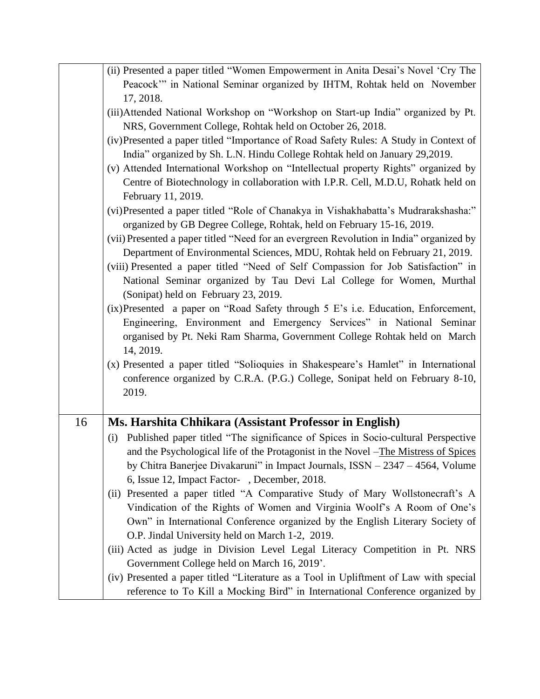|    | (ii) Presented a paper titled "Women Empowerment in Anita Desai's Novel 'Cry The        |
|----|-----------------------------------------------------------------------------------------|
|    | Peacock" in National Seminar organized by IHTM, Rohtak held on November                 |
|    | 17, 2018.                                                                               |
|    | (iii)Attended National Workshop on "Workshop on Start-up India" organized by Pt.        |
|    | NRS, Government College, Rohtak held on October 26, 2018.                               |
|    | (iv)Presented a paper titled "Importance of Road Safety Rules: A Study in Context of    |
|    | India" organized by Sh. L.N. Hindu College Rohtak held on January 29,2019.              |
|    | (v) Attended International Workshop on "Intellectual property Rights" organized by      |
|    | Centre of Biotechnology in collaboration with I.P.R. Cell, M.D.U, Rohatk held on        |
|    | February 11, 2019.                                                                      |
|    | (vi) Presented a paper titled "Role of Chanakya in Vishakhabatta's Mudrarakshasha:"     |
|    | organized by GB Degree College, Rohtak, held on February 15-16, 2019.                   |
|    | (vii) Presented a paper titled "Need for an evergreen Revolution in India" organized by |
|    | Department of Environmental Sciences, MDU, Rohtak held on February 21, 2019.            |
|    | (viii) Presented a paper titled "Need of Self Compassion for Job Satisfaction" in       |
|    | National Seminar organized by Tau Devi Lal College for Women, Murthal                   |
|    | (Sonipat) held on February 23, 2019.                                                    |
|    | $(ix)$ Presented a paper on "Road Safety through 5 E's i.e. Education, Enforcement,     |
|    | Engineering, Environment and Emergency Services" in National Seminar                    |
|    | organised by Pt. Neki Ram Sharma, Government College Rohtak held on March               |
|    | 14, 2019.                                                                               |
|    | (x) Presented a paper titled "Solioquies in Shakespeare's Hamlet" in International      |
|    | conference organized by C.R.A. (P.G.) College, Sonipat held on February 8-10,           |
|    | 2019.                                                                                   |
|    |                                                                                         |
| 16 | Ms. Harshita Chhikara (Assistant Professor in English)                                  |
|    | Published paper titled "The significance of Spices in Socio-cultural Perspective<br>(i) |
|    | and the Psychological life of the Protagonist in the Novel -The Mistress of Spices      |
|    | by Chitra Banerjee Divakaruni" in Impact Journals, $ISSN - 2347 - 4564$ , Volume        |
|    | 6, Issue 12, Impact Factor-, December, 2018.                                            |
|    | (ii) Presented a paper titled "A Comparative Study of Mary Wollstonecraft's A           |
|    | Vindication of the Rights of Women and Virginia Woolf's A Room of One's                 |
|    | Own" in International Conference organized by the English Literary Society of           |
|    | O.P. Jindal University held on March 1-2, 2019.                                         |
|    | (iii) Acted as judge in Division Level Legal Literacy Competition in Pt. NRS            |
|    | Government College held on March 16, 2019'.                                             |
|    | (iv) Presented a paper titled "Literature as a Tool in Upliftment of Law with special   |
|    | reference to To Kill a Mocking Bird" in International Conference organized by           |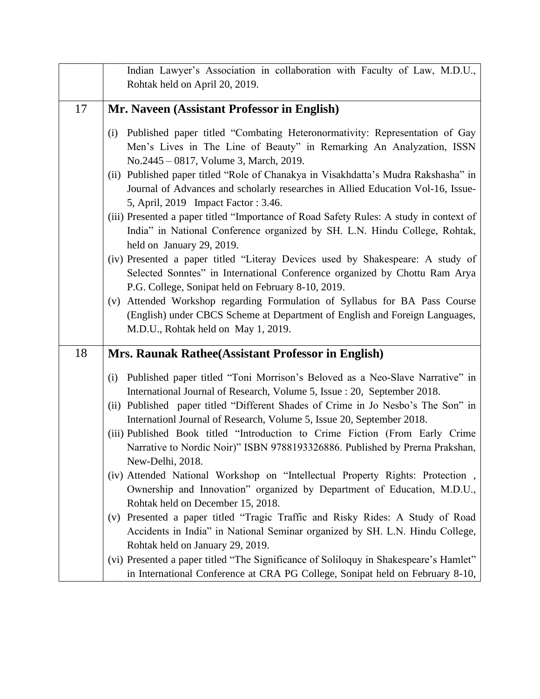|    | Indian Lawyer's Association in collaboration with Faculty of Law, M.D.U.,<br>Rohtak held on April 20, 2019.                                                                                                                                                                                                                                                                                                                                                                                                                                                                                                                                                                                                                                                                                                                                                                                                                                                                                                    |
|----|----------------------------------------------------------------------------------------------------------------------------------------------------------------------------------------------------------------------------------------------------------------------------------------------------------------------------------------------------------------------------------------------------------------------------------------------------------------------------------------------------------------------------------------------------------------------------------------------------------------------------------------------------------------------------------------------------------------------------------------------------------------------------------------------------------------------------------------------------------------------------------------------------------------------------------------------------------------------------------------------------------------|
| 17 | Mr. Naveen (Assistant Professor in English)                                                                                                                                                                                                                                                                                                                                                                                                                                                                                                                                                                                                                                                                                                                                                                                                                                                                                                                                                                    |
|    | Published paper titled "Combating Heteronormativity: Representation of Gay<br>(i)<br>Men's Lives in The Line of Beauty" in Remarking An Analyzation, ISSN<br>No.2445 – 0817, Volume 3, March, 2019.<br>(ii) Published paper titled "Role of Chanakya in Visakhdatta's Mudra Rakshasha" in<br>Journal of Advances and scholarly researches in Allied Education Vol-16, Issue-<br>5, April, 2019 Impact Factor: 3.46.<br>(iii) Presented a paper titled "Importance of Road Safety Rules: A study in context of<br>India" in National Conference organized by SH. L.N. Hindu College, Rohtak,<br>held on January 29, 2019.<br>(iv) Presented a paper titled "Literay Devices used by Shakespeare: A study of<br>Selected Sonntes" in International Conference organized by Chottu Ram Arya<br>P.G. College, Sonipat held on February 8-10, 2019.<br>Attended Workshop regarding Formulation of Syllabus for BA Pass Course<br>(V)<br>(English) under CBCS Scheme at Department of English and Foreign Languages, |
|    | M.D.U., Rohtak held on May 1, 2019.                                                                                                                                                                                                                                                                                                                                                                                                                                                                                                                                                                                                                                                                                                                                                                                                                                                                                                                                                                            |
| 18 | Mrs. Raunak Rathee(Assistant Professor in English)                                                                                                                                                                                                                                                                                                                                                                                                                                                                                                                                                                                                                                                                                                                                                                                                                                                                                                                                                             |
|    | (i) Published paper titled "Toni Morrison's Beloved as a Neo-Slave Narrative" in<br>International Journal of Research, Volume 5, Issue : 20, September 2018.<br>(ii) Published paper titled "Different Shades of Crime in Jo Nesbo's The Son" in<br>Internation Journal of Research, Volume 5, Issue 20, September 2018.<br>(iii) Published Book titled "Introduction to Crime Fiction (From Early Crime<br>Narrative to Nordic Noir)" ISBN 9788193326886. Published by Prerna Prakshan,                                                                                                                                                                                                                                                                                                                                                                                                                                                                                                                       |
|    | New-Delhi, 2018.<br>(iv) Attended National Workshop on "Intellectual Property Rights: Protection,<br>Ownership and Innovation" organized by Department of Education, M.D.U.,<br>Rohtak held on December 15, 2018.<br>(v) Presented a paper titled "Tragic Traffic and Risky Rides: A Study of Road<br>Accidents in India" in National Seminar organized by SH. L.N. Hindu College,                                                                                                                                                                                                                                                                                                                                                                                                                                                                                                                                                                                                                             |
|    | Rohtak held on January 29, 2019.<br>(vi) Presented a paper titled "The Significance of Soliloquy in Shakespeare's Hamlet"<br>in International Conference at CRA PG College, Sonipat held on February 8-10,                                                                                                                                                                                                                                                                                                                                                                                                                                                                                                                                                                                                                                                                                                                                                                                                     |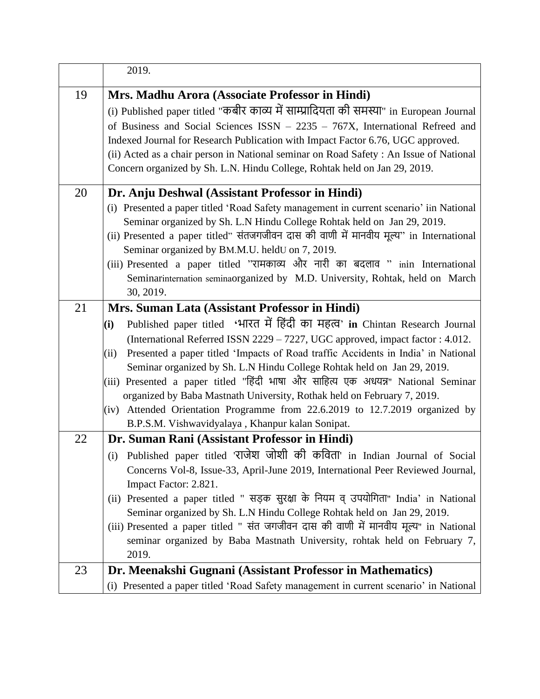|    | 2019.                                                                                                         |
|----|---------------------------------------------------------------------------------------------------------------|
| 19 | Mrs. Madhu Arora (Associate Professor in Hindi)                                                               |
|    | (i) Published paper titled "कबीर काव्य में साम्प्रादियता की समस्या" in European Journal                       |
|    | of Business and Social Sciences $ISSN - 2235 - 767X$ , International Refreed and                              |
|    | Indexed Journal for Research Publication with Impact Factor 6.76, UGC approved.                               |
|    | (ii) Acted as a chair person in National seminar on Road Safety : An Issue of National                        |
|    | Concern organized by Sh. L.N. Hindu College, Rohtak held on Jan 29, 2019.                                     |
| 20 | Dr. Anju Deshwal (Assistant Professor in Hindi)                                                               |
|    | (i) Presented a paper titled 'Road Safety management in current scenario' iin National                        |
|    | Seminar organized by Sh. L.N Hindu College Rohtak held on Jan 29, 2019.                                       |
|    | (ii) Presented a paper titled" संतजगजीवन दास की वाणी में मानवीय मूल्य" in International                       |
|    | Seminar organized by BM.M.U. heldU on 7, 2019.                                                                |
|    | (iii) Presented a paper titled "रामकाव्य और नारी का बदलाव " inin International                                |
|    | Seminarinternation seminaorganized by M.D. University, Rohtak, held on March                                  |
|    | 30, 2019.                                                                                                     |
| 21 | Mrs. Suman Lata (Assistant Professor in Hindi)                                                                |
|    | Published paper titled 'भारत में हिंदी का महत्व' in Chintan Research Journal<br>(i)                           |
|    | (International Referred ISSN 2229 - 7227, UGC approved, impact factor : 4.012.                                |
|    | Presented a paper titled 'Impacts of Road traffic Accidents in India' in National<br>(ii)                     |
|    | Seminar organized by Sh. L.N Hindu College Rohtak held on Jan 29, 2019.                                       |
|    | (iii) Presented a paper titled "हिंदी भाषा और साहित्य एक अधयन्न" National Seminar                             |
|    | organized by Baba Mastnath University, Rothak held on February 7, 2019.                                       |
|    | Attended Orientation Programme from 22.6.2019 to 12.7.2019 organized by<br>(iv)                               |
|    | B.P.S.M. Vishwavidyalaya, Khanpur kalan Sonipat.                                                              |
| 22 | Dr. Suman Rani (Assistant Professor in Hindi)                                                                 |
|    | (i) Published paper titled 'राजेश जोशी की कविता' in Indian Journal of Social                                  |
|    | Concerns Vol-8, Issue-33, April-June 2019, International Peer Reviewed Journal,                               |
|    | Impact Factor: 2.821.<br>(ii) Presented a paper titled " सड़क सुरक्षा के नियम व् उपयोगिता" India' in National |
|    | Seminar organized by Sh. L.N Hindu College Rohtak held on Jan 29, 2019.                                       |
|    | (iii) Presented a paper titled " संत जगजीवन दास की वाणी में मानवीय मूल्य" in National                         |
|    | seminar organized by Baba Mastnath University, rohtak held on February 7,                                     |
|    | 2019.                                                                                                         |
| 23 | Dr. Meenakshi Gugnani (Assistant Professor in Mathematics)                                                    |
|    | (i) Presented a paper titled 'Road Safety management in current scenario' in National                         |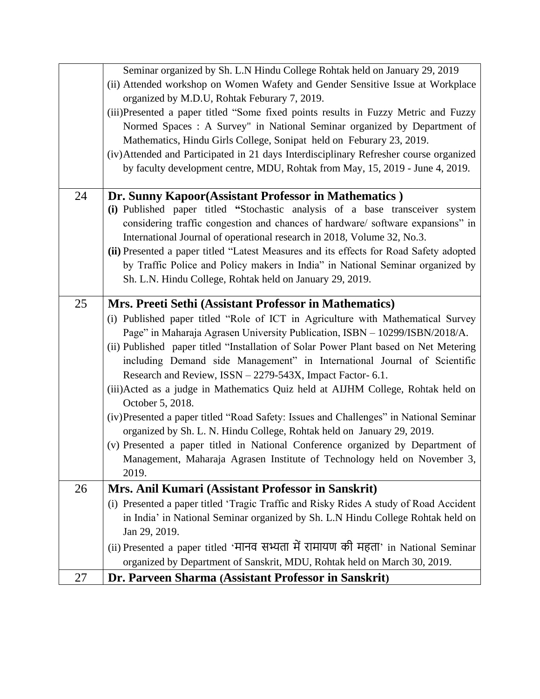|    | Seminar organized by Sh. L.N Hindu College Rohtak held on January 29, 2019             |
|----|----------------------------------------------------------------------------------------|
|    | (ii) Attended workshop on Women Wafety and Gender Sensitive Issue at Workplace         |
|    | organized by M.D.U, Rohtak Feburary 7, 2019.                                           |
|    | (iii)Presented a paper titled "Some fixed points results in Fuzzy Metric and Fuzzy     |
|    | Normed Spaces : A Survey" in National Seminar organized by Department of               |
|    | Mathematics, Hindu Girls College, Sonipat held on Feburary 23, 2019.                   |
|    | (iv) Attended and Participated in 21 days Interdisciplinary Refresher course organized |
|    | by faculty development centre, MDU, Rohtak from May, 15, 2019 - June 4, 2019.          |
|    |                                                                                        |
| 24 | Dr. Sunny Kapoor(Assistant Professor in Mathematics)                                   |
|    | (i) Published paper titled "Stochastic analysis of a base transceiver system           |
|    | considering traffic congestion and chances of hardware/software expansions" in         |
|    | International Journal of operational research in 2018, Volume 32, No.3.                |
|    | (ii) Presented a paper titled "Latest Measures and its effects for Road Safety adopted |
|    | by Traffic Police and Policy makers in India" in National Seminar organized by         |
|    | Sh. L.N. Hindu College, Rohtak held on January 29, 2019.                               |
|    |                                                                                        |
| 25 | Mrs. Preeti Sethi (Assistant Professor in Mathematics)                                 |
|    | (i) Published paper titled "Role of ICT in Agriculture with Mathematical Survey        |
|    | Page" in Maharaja Agrasen University Publication, ISBN - 10299/ISBN/2018/A.            |
|    | (ii) Published paper titled "Installation of Solar Power Plant based on Net Metering   |
|    | including Demand side Management" in International Journal of Scientific               |
|    | Research and Review, ISSN - 2279-543X, Impact Factor- 6.1.                             |
|    | (iii) Acted as a judge in Mathematics Quiz held at AIJHM College, Rohtak held on       |
|    | October 5, 2018.                                                                       |
|    | (iv)Presented a paper titled "Road Safety: Issues and Challenges" in National Seminar  |
|    | organized by Sh. L. N. Hindu College, Rohtak held on January 29, 2019.                 |
|    | (v) Presented a paper titled in National Conference organized by Department of         |
|    | Management, Maharaja Agrasen Institute of Technology held on November 3,               |
|    | 2019.                                                                                  |
| 26 | Mrs. Anil Kumari (Assistant Professor in Sanskrit)                                     |
|    | (i) Presented a paper titled 'Tragic Traffic and Risky Rides A study of Road Accident  |
|    | in India' in National Seminar organized by Sh. L.N Hindu College Rohtak held on        |
|    | Jan 29, 2019.                                                                          |
|    | (ii) Presented a paper titled 'मानव सभ्यता में रामायण की महता' in National Seminar     |
|    | organized by Department of Sanskrit, MDU, Rohtak held on March 30, 2019.               |
| 27 | Dr. Parveen Sharma (Assistant Professor in Sanskrit)                                   |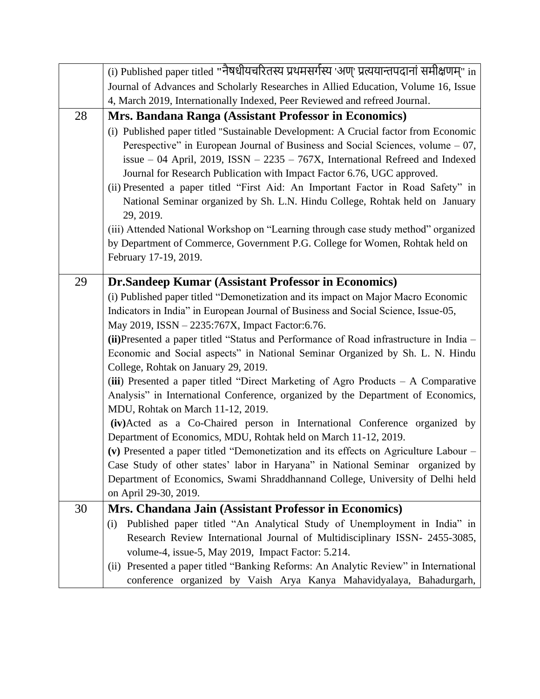|    | (i) Published paper titled "नैषधीयचरितस्य प्रथमसर्गस्य 'अण्' प्रत्ययान्तपदानां समीक्षणम्" in |
|----|----------------------------------------------------------------------------------------------|
|    | Journal of Advances and Scholarly Researches in Allied Education, Volume 16, Issue           |
|    | 4, March 2019, Internationally Indexed, Peer Reviewed and refreed Journal.                   |
| 28 | Mrs. Bandana Ranga (Assistant Professor in Economics)                                        |
|    | (i) Published paper titled "Sustainable Development: A Crucial factor from Economic          |
|    | Perespective" in European Journal of Business and Social Sciences, volume $-07$ ,            |
|    | issue $-$ 04 April, 2019, ISSN $-$ 2235 $-$ 767X, International Refreed and Indexed          |
|    | Journal for Research Publication with Impact Factor 6.76, UGC approved.                      |
|    | (ii) Presented a paper titled "First Aid: An Important Factor in Road Safety" in             |
|    | National Seminar organized by Sh. L.N. Hindu College, Rohtak held on January                 |
|    | 29, 2019.                                                                                    |
|    | (iii) Attended National Workshop on "Learning through case study method" organized           |
|    | by Department of Commerce, Government P.G. College for Women, Rohtak held on                 |
|    | February 17-19, 2019.                                                                        |
| 29 | Dr.Sandeep Kumar (Assistant Professor in Economics)                                          |
|    | (i) Published paper titled "Demonetization and its impact on Major Macro Economic            |
|    | Indicators in India" in European Journal of Business and Social Science, Issue-05,           |
|    | May 2019, ISSN - 2235:767X, Impact Factor: 6.76.                                             |
|    | (ii) Presented a paper titled "Status and Performance of Road infrastructure in India -      |
|    | Economic and Social aspects" in National Seminar Organized by Sh. L. N. Hindu                |
|    | College, Rohtak on January 29, 2019.                                                         |
|    | (iii) Presented a paper titled "Direct Marketing of Agro Products $-$ A Comparative          |
|    | Analysis" in International Conference, organized by the Department of Economics,             |
|    | MDU, Rohtak on March 11-12, 2019.                                                            |
|    | (iv)Acted as a Co-Chaired person in International Conference organized by                    |
|    | Department of Economics, MDU, Rohtak held on March 11-12, 2019.                              |
|    | (v) Presented a paper titled "Demonetization and its effects on Agriculture Labour $-$       |
|    | Case Study of other states' labor in Haryana" in National Seminar organized by               |
|    | Department of Economics, Swami Shraddhannand College, University of Delhi held               |
| 30 | on April 29-30, 2019.<br>Mrs. Chandana Jain (Assistant Professor in Economics)               |
|    | Published paper titled "An Analytical Study of Unemployment in India" in<br>(i)              |
|    | Research Review International Journal of Multidisciplinary ISSN- 2455-3085,                  |
|    | volume-4, issue-5, May 2019, Impact Factor: 5.214.                                           |
|    | (ii) Presented a paper titled "Banking Reforms: An Analytic Review" in International         |
|    | conference organized by Vaish Arya Kanya Mahavidyalaya, Bahadurgarh,                         |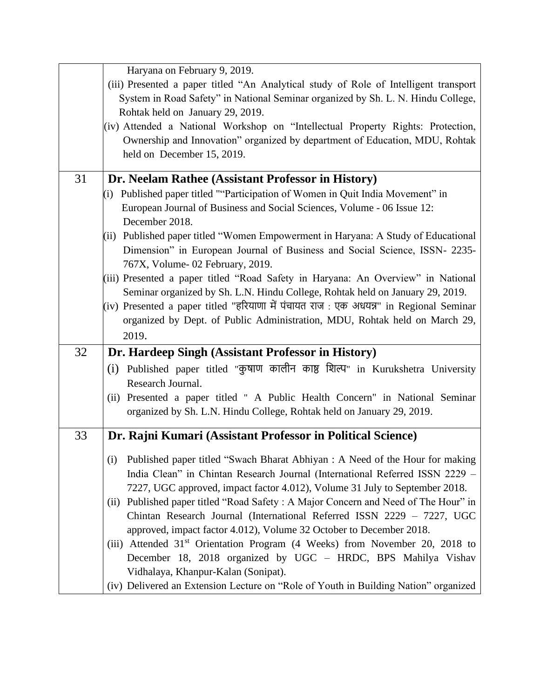|    | Haryana on February 9, 2019.                                                            |
|----|-----------------------------------------------------------------------------------------|
|    | (iii) Presented a paper titled "An Analytical study of Role of Intelligent transport    |
|    | System in Road Safety" in National Seminar organized by Sh. L. N. Hindu College,        |
|    | Rohtak held on January 29, 2019.                                                        |
|    | (iv) Attended a National Workshop on "Intellectual Property Rights: Protection,         |
|    | Ownership and Innovation" organized by department of Education, MDU, Rohtak             |
|    | held on December 15, 2019.                                                              |
|    |                                                                                         |
| 31 | Dr. Neelam Rathee (Assistant Professor in History)                                      |
|    | (i) Published paper titled ""Participation of Women in Quit India Movement" in          |
|    | European Journal of Business and Social Sciences, Volume - 06 Issue 12:                 |
|    | December 2018.                                                                          |
|    | (ii) Published paper titled "Women Empowerment in Haryana: A Study of Educational       |
|    | Dimension" in European Journal of Business and Social Science, ISSN- 2235-              |
|    | 767X, Volume- 02 February, 2019.                                                        |
|    | (iii) Presented a paper titled "Road Safety in Haryana: An Overview" in National        |
|    | Seminar organized by Sh. L.N. Hindu College, Rohtak held on January 29, 2019.           |
|    | (iv) Presented a paper titled "हरियाणा में पंचायत राज : एक अधयन्न" in Regional Seminar  |
|    | organized by Dept. of Public Administration, MDU, Rohtak held on March 29,              |
|    | 2019.                                                                                   |
|    |                                                                                         |
| 32 | Dr. Hardeep Singh (Assistant Professor in History)                                      |
|    | (i) Published paper titled "कुषाण कालीन काष्ठ शिल्प" in Kurukshetra University          |
|    | Research Journal.                                                                       |
|    | (ii) Presented a paper titled " A Public Health Concern" in National Seminar            |
|    | organized by Sh. L.N. Hindu College, Rohtak held on January 29, 2019.                   |
|    |                                                                                         |
| 33 | Dr. Rajni Kumari (Assistant Professor in Political Science)                             |
|    | (i) Published paper titled "Swach Bharat Abhiyan : A Need of the Hour for making        |
|    |                                                                                         |
|    | India Clean" in Chintan Research Journal (International Referred ISSN 2229 -            |
|    | 7227, UGC approved, impact factor 4.012), Volume 31 July to September 2018.             |
|    | (ii) Published paper titled "Road Safety: A Major Concern and Need of The Hour" in      |
|    | Chintan Research Journal (International Referred ISSN 2229 - 7227, UGC                  |
|    | approved, impact factor 4.012), Volume 32 October to December 2018.                     |
|    | (iii) Attended 31 <sup>st</sup> Orientation Program (4 Weeks) from November 20, 2018 to |
|    | December 18, 2018 organized by UGC - HRDC, BPS Mahilya Vishav                           |
|    | Vidhalaya, Khanpur-Kalan (Sonipat).                                                     |
|    | (iv) Delivered an Extension Lecture on "Role of Youth in Building Nation" organized     |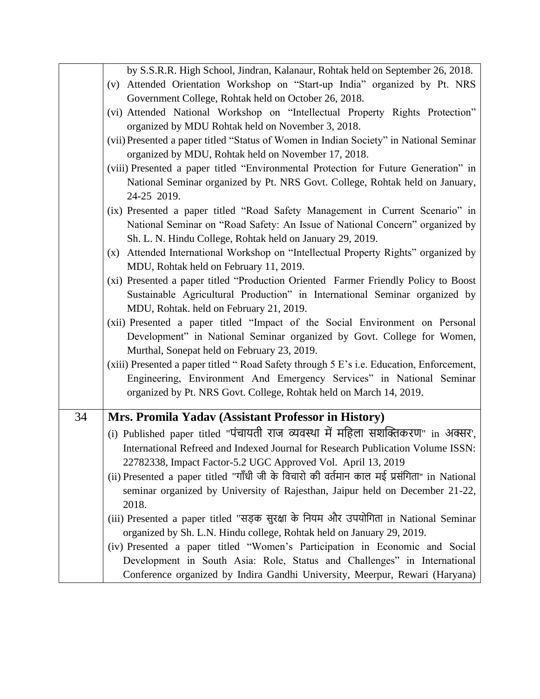|    | by S.S.R.R. High School, Jindran, Kalanaur, Rohtak held on September 26, 2018.                                                                          |
|----|---------------------------------------------------------------------------------------------------------------------------------------------------------|
|    | (v) Attended Orientation Workshop on "Start-up India" organized by Pt. NRS                                                                              |
|    | Government College, Rohtak held on October 26, 2018.                                                                                                    |
|    | (vi) Attended National Workshop on "Intellectual Property Rights Protection"                                                                            |
|    | organized by MDU Rohtak held on November 3, 2018.                                                                                                       |
|    | (vii) Presented a paper titled "Status of Women in Indian Society" in National Seminar<br>organized by MDU, Rohtak held on November 17, 2018.           |
|    | (viii) Presented a paper titled "Environmental Protection for Future Generation" in                                                                     |
|    | National Seminar organized by Pt. NRS Govt. College, Rohtak held on January,                                                                            |
|    | 24-25 2019.                                                                                                                                             |
|    | (ix) Presented a paper titled "Road Safety Management in Current Scenario" in                                                                           |
|    | National Seminar on "Road Safety: An Issue of National Concern" organized by                                                                            |
|    | Sh. L. N. Hindu College, Rohtak held on January 29, 2019.                                                                                               |
|    | (x) Attended International Workshop on "Intellectual Property Rights" organized by                                                                      |
|    | MDU, Rohtak held on February 11, 2019.                                                                                                                  |
|    | (xi) Presented a paper titled "Production Oriented Farmer Friendly Policy to Boost                                                                      |
|    | Sustainable Agricultural Production" in International Seminar organized by                                                                              |
|    | MDU, Rohtak. held on February 21, 2019.                                                                                                                 |
|    | (xii) Presented a paper titled "Impact of the Social Environment on Personal                                                                            |
|    | Development" in National Seminar organized by Govt. College for Women,                                                                                  |
|    | Murthal, Sonepat held on February 23, 2019.<br>(xiii) Presented a paper titled "Road Safety through 5 E's i.e. Education, Enforcement,                  |
|    | Engineering, Environment And Emergency Services" in National Seminar                                                                                    |
|    | organized by Pt. NRS Govt. College, Rohtak held on March 14, 2019.                                                                                      |
|    |                                                                                                                                                         |
| 34 | Mrs. Promila Yadav (Assistant Professor in History)                                                                                                     |
|    | (i) Published paper titled "पंचायती राज व्यवस्था में महिला सशक्तिकरण" in अक्सर',                                                                        |
|    | International Refreed and Indexed Journal for Research Publication Volume ISSN:                                                                         |
|    |                                                                                                                                                         |
|    | 22782338, Impact Factor-5.2 UGC Approved Vol. April 13, 2019                                                                                            |
|    | (ii) Presented a paper titled "गाँधी जी के विचारो की वर्तमान काल मई प्रसंगिता" in National                                                              |
|    | seminar organized by University of Rajesthan, Jaipur held on December 21-22,                                                                            |
|    | 2018.                                                                                                                                                   |
|    | (iii) Presented a paper titled "सड़क सुरक्षा के नियम और उपयोगिता in National Seminar                                                                    |
|    | organized by Sh. L.N. Hindu college, Rohtak held on January 29, 2019.                                                                                   |
|    | (iv) Presented a paper titled "Women's Participation in Economic and Social<br>Development in South Asia: Role, Status and Challenges" in International |